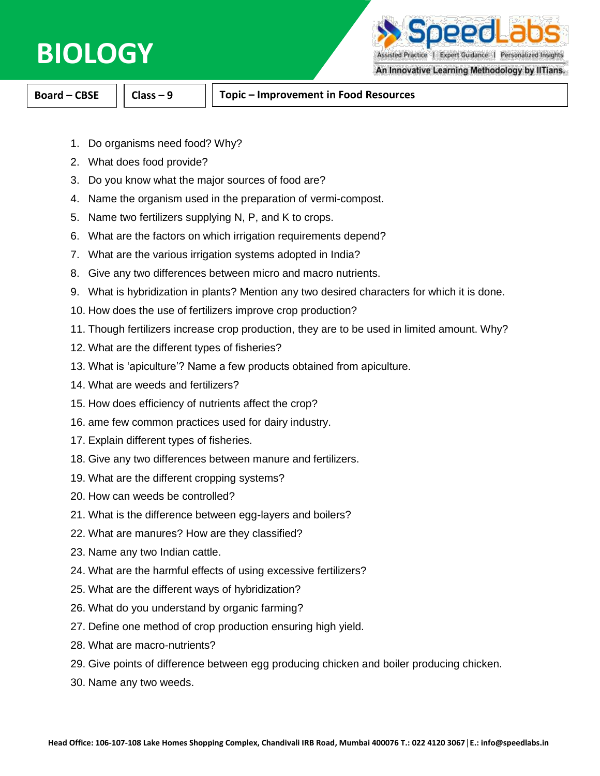## **BIOLOGY**

peed

Assisted Practice | Expert Guidance | Personalized Insights

An Innovative Learning Methodology by IITians.

**Board – CBSE Class – 9 Topic – Improvement in Food Resources**

- 1. Do organisms need food? Why?
- 2. What does food provide?
- 3. Do you know what the major sources of food are?
- 4. Name the organism used in the preparation of vermi-compost.
- 5. Name two fertilizers supplying N, P, and K to crops.
- 6. What are the factors on which irrigation requirements depend?
- 7. What are the various irrigation systems adopted in India?
- 8. Give any two differences between micro and macro nutrients.
- 9. What is hybridization in plants? Mention any two desired characters for which it is done.
- 10. How does the use of fertilizers improve crop production?
- 11. Though fertilizers increase crop production, they are to be used in limited amount. Why?
- 12. What are the different types of fisheries?
- 13. What is 'apiculture'? Name a few products obtained from apiculture.
- 14. What are weeds and fertilizers?
- 15. How does efficiency of nutrients affect the crop?
- 16. ame few common practices used for dairy industry.
- 17. Explain different types of fisheries.
- 18. Give any two differences between manure and fertilizers.
- 19. What are the different cropping systems?
- 20. How can weeds be controlled?
- 21. What is the difference between egg-layers and boilers?
- 22. What are manures? How are they classified?
- 23. Name any two Indian cattle.
- 24. What are the harmful effects of using excessive fertilizers?
- 25. What are the different ways of hybridization?
- 26. What do you understand by organic farming?
- 27. Define one method of crop production ensuring high yield.
- 28. What are macro-nutrients?
- 29. Give points of difference between egg producing chicken and boiler producing chicken.
- 30. Name any two weeds.